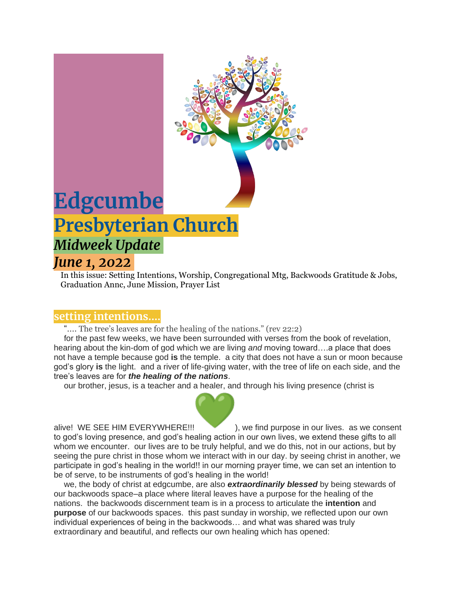

In this issue: Setting Intentions, Worship, Congregational Mtg, Backwoods Gratitude & Jobs, Graduation Annc, June Mission, Prayer List

#### **setting intentions….**

".... The tree's leaves are for the healing of the nations." (rev 22:2)

for the past few weeks, we have been surrounded with verses from the book of revelation, hearing about the kin-dom of god which we are living *and* moving toward….a place that does not have a temple because god **is** the temple. a city that does not have a sun or moon because god's glory **is** the light. and a river of life-giving water, with the tree of life on each side, and the tree's leaves are for *the healing of the nations*.

our brother, jesus, is a teacher and a healer, and through his living presence (christ is



alive! WE SEE HIM EVERYWHERE!!! ), we find purpose in our lives. as we consent to god's loving presence, and god's healing action in our own lives, we extend these gifts to all whom we encounter. our lives are to be truly helpful, and we do this, not in our actions, but by seeing the pure christ in those whom we interact with in our day. by seeing christ in another, we participate in god's healing in the world!! in our morning prayer time, we can set an intention to be of serve, to be instruments of god's healing in the world!

we, the body of christ at edgcumbe, are also *extraordinarily blessed* by being stewards of our backwoods space–a place where literal leaves have a purpose for the healing of the nations. the backwoods discernment team is in a process to articulate the **intention** and **purpose** of our backwoods spaces. this past sunday in worship, we reflected upon our own individual experiences of being in the backwoods… and what was shared was truly extraordinary and beautiful, and reflects our own healing which has opened: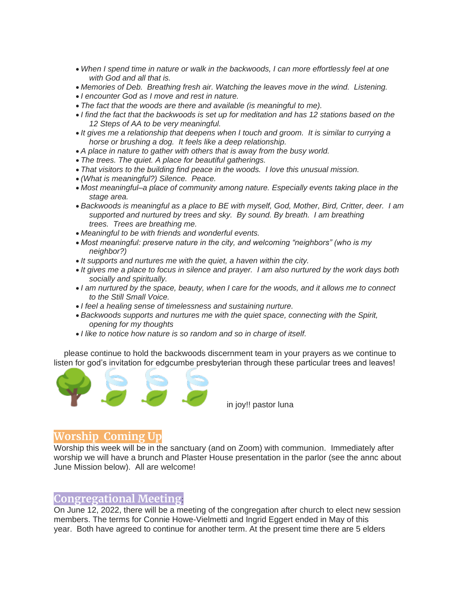- *When I spend time in nature or walk in the backwoods, I can more effortlessly feel at one with God and all that is.*
- *Memories of Deb. Breathing fresh air. Watching the leaves move in the wind. Listening.*
- *I encounter God as I move and rest in nature.*
- *The fact that the woods are there and available (is meaningful to me).*
- *I find the fact that the backwoods is set up for meditation and has 12 stations based on the 12 Steps of AA to be very meaningful.*
- *It gives me a relationship that deepens when I touch and groom. It is similar to currying a horse or brushing a dog. It feels like a deep relationship.*
- *A place in nature to gather with others that is away from the busy world.*
- *The trees. The quiet. A place for beautiful gatherings.*
- *That visitors to the building find peace in the woods. I love this unusual mission.*
- *(What is meaningful?) Silence. Peace.*
- *Most meaningful–a place of community among nature. Especially events taking place in the stage area.*
- *Backwoods is meaningful as a place to BE with myself, God, Mother, Bird, Critter, deer. I am supported and nurtured by trees and sky. By sound. By breath. I am breathing trees. Trees are breathing me.*
- *Meaningful to be with friends and wonderful events.*
- *Most meaningful: preserve nature in the city, and welcoming "neighbors" (who is my neighbor?)*
- *It supports and nurtures me with the quiet, a haven within the city.*
- *It gives me a place to focus in silence and prayer. I am also nurtured by the work days both socially and spiritually.*
- *I am nurtured by the space, beauty, when I care for the woods, and it allows me to connect to the Still Small Voice.*
- *I feel a healing sense of timelessness and sustaining nurture.*
- *Backwoods supports and nurtures me with the quiet space, connecting with the Spirit, opening for my thoughts*
- *I like to notice how nature is so random and so in charge of itself.*

please continue to hold the backwoods discernment team in your prayers as we continue to listen for god's invitation for edgcumbe presbyterian through these particular trees and leaves!



in joy!! pastor luna

### **Worship Coming Up**

Worship this week will be in the sanctuary (and on Zoom) with communion. Immediately after worship we will have a brunch and Plaster House presentation in the parlor (see the annc about June Mission below). All are welcome!

# **Congregational Meeting**:

On June 12, 2022, there will be a meeting of the congregation after church to elect new session members. The terms for Connie Howe-Vielmetti and Ingrid Eggert ended in May of this year. Both have agreed to continue for another term. At the present time there are 5 elders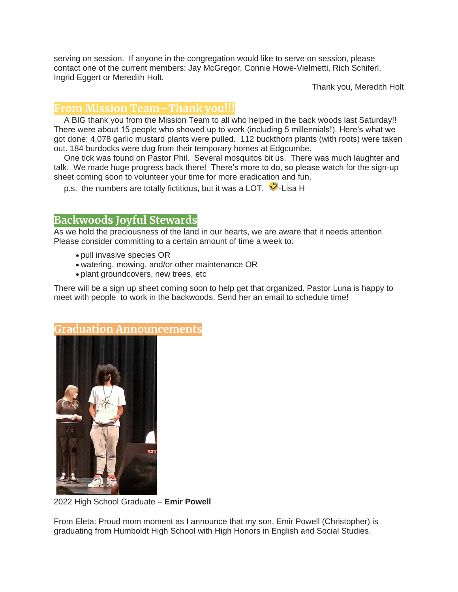serving on session. If anyone in the congregation would like to serve on session, please contact one of the current members: Jay McGregor, Connie Howe-Vielmetti, Rich Schiferl, Ingrid Eggert or Meredith Holt.

Thank you, Meredith Holt

# **From Mission Team–Thank you!!!**

A BIG thank you from the Mission Team to all who helped in the back woods last Saturday!! There were about 15 people who showed up to work (including 5 millennials!). Here's what we got done: 4,078 garlic mustard plants were pulled. 112 buckthorn plants (with roots) were taken out. 184 burdocks were dug from their temporary homes at Edgcumbe.

One tick was found on Pastor Phil. Several mosquitos bit us. There was much laughter and talk. We made huge progress back there! There's more to do, so please watch for the sign-up sheet coming soon to volunteer your time for more eradication and fun.

p.s. the numbers are totally fictitious, but it was a LOT.  $\mathbf{\hat{Z}}$ -Lisa H

## **Backwoods Joyful Stewards**

As we hold the preciousness of the land in our hearts, we are aware that it needs attention. Please consider committing to a certain amount of time a week to:

- pull invasive species OR
- watering, mowing, and/or other maintenance OR
- plant groundcovers, new trees, etc

There will be a sign up sheet coming soon to help get that organized. Pastor Luna is happy to meet with people to work in the backwoods. Send her an email to schedule time!



2022 High School Graduate – **Emir Powell**

From Eleta: Proud mom moment as I announce that my son, Emir Powell (Christopher) is graduating from Humboldt High School with High Honors in English and Social Studies.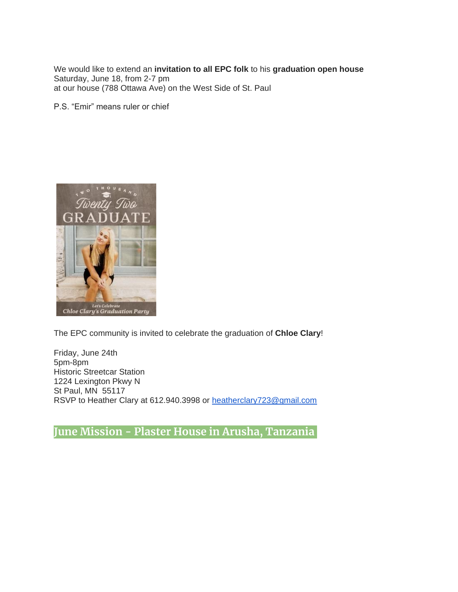We would like to extend an **invitation to all EPC folk** to his **graduation open house** Saturday, June 18, from 2-7 pm at our house (788 Ottawa Ave) on the West Side of St. Paul

P.S. "Emir" means ruler or chief



The EPC community is invited to celebrate the graduation of **Chloe Clary**!

Friday, June 24th 5pm-8pm Historic Streetcar Station 1224 Lexington Pkwy N St Paul, MN 55117 RSVP to Heather Clary at 612.940.3998 or [heatherclary723@gmail.com](mailto:heatherclary723@gmail.com)

**June Mission - Plaster House in Arusha, Tanzania**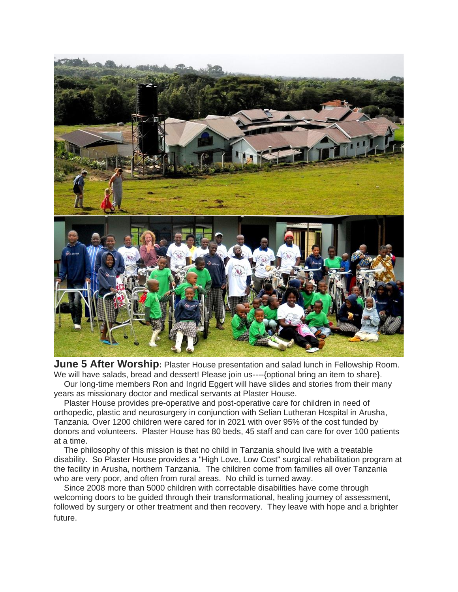

**June 5 After Worship:** Plaster House presentation and salad lunch in Fellowship Room. We will have salads, bread and dessert! Please join us----{optional bring an item to share}.

Our long-time members Ron and Ingrid Eggert will have slides and stories from their many years as missionary doctor and medical servants at Plaster House.

Plaster House provides pre-operative and post-operative care for children in need of orthopedic, plastic and neurosurgery in conjunction with Selian Lutheran Hospital in Arusha, Tanzania. Over 1200 children were cared for in 2021 with over 95% of the cost funded by donors and volunteers. Plaster House has 80 beds, 45 staff and can care for over 100 patients at a time.

The philosophy of this mission is that no child in Tanzania should live with a treatable disability. So Plaster House provides a "High Love, Low Cost" surgical rehabilitation program at the facility in Arusha, northern Tanzania. The children come from families all over Tanzania who are very poor, and often from rural areas. No child is turned away.

Since 2008 more than 5000 children with correctable disabilities have come through welcoming doors to be guided through their transformational, healing journey of assessment, followed by surgery or other treatment and then recovery. They leave with hope and a brighter future.